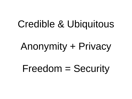## Credible & Ubiquitous

# Anonymity + Privacy

Freedom = Security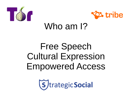



### Who am I?

## Free Speech Cultural Expression Empowered Access

(S) trategic Social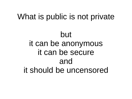## What is public is not private but it can be anonymous it can be secure and it should be uncensored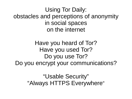Using Tor Daily: obstacles and perceptions of anonymity in social spaces on the internet

Have you heard of Tor? Have you used Tor? Do you use Tor? Do you encrypt your communications?

> "Usable Security" "Always HTTPS Everywhere"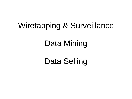### Wiretapping & Surveillance

### Data Mining

Data Selling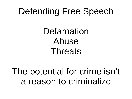## Defending Free Speech

Defamation Abuse Threats

The potential for crime isn't a reason to criminalize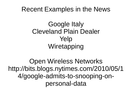### Recent Examples in the News

### Google Italy Cleveland Plain Dealer Yelp **Wiretapping**

Open Wireless Networks http://bits.blogs.nytimes.com/2010/05/1 4/google-admits-to-snooping-onpersonal-data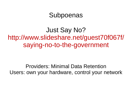### **Subpoenas**

Just Say No? http://www.slideshare.net/guest70f067f/ saying-no-to-the-government

Providers: Minimal Data Retention Users: own your hardware, control your network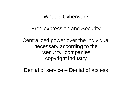#### What is Cyberwar?

#### Free expression and Security

Centralized power over the individual necessary according to the "security" companies copyright industry

Denial of service – Denial of access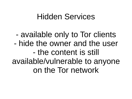### Hidden Services

- available only to Tor clients - hide the owner and the user - the content is still available/vulnerable to anyone on the Tor network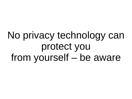# No privacy technology can protect you from yourself – be aware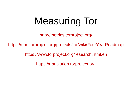# Measuring Tor

http://metrics.torproject.org/

https://trac.torproject.org/projects/tor/wiki/FourYearRoadmap

https://www.torproject.org/research.html.en

https://translation.torproject.org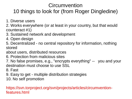#### **Circumvention**

### 10 things to look for (from Roger Dingledine)

- 1. Diverse users
- 2. Works everywhere (or at least in your country, but that would counteract #1)
- 3. Sustained network and development
- 4. Open design
- 5. Decentralized no central repository for information, nothing stored
- about users, distributed resources
- 6. Protection from malicious sites
- 7. No false promises, e.g., "encrypts everything" -- you and your destination must choose to use SSL
- 8. Fast
- 9. Easy to get multiple distribution strategies
- 10. No self promotion

https://svn.torproject.org/svn/projects/articles/circumventionfeatures.html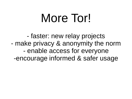# More Tor!

- faster: new relay projects - make privacy & anonymity the norm - enable access for everyone -encourage informed & safer usage